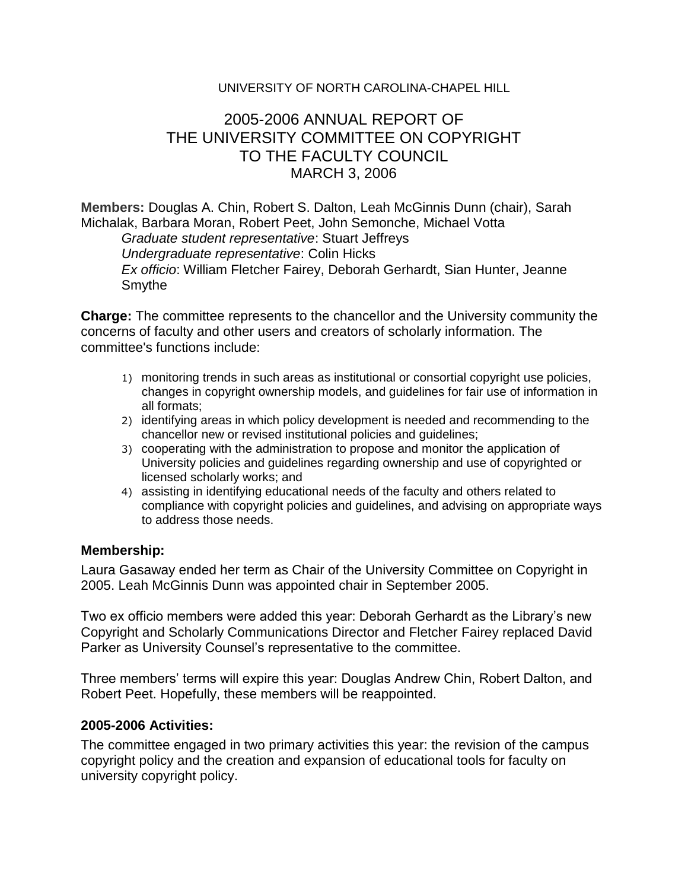## UNIVERSITY OF NORTH CAROLINA-CHAPEL HILL

## 2005-2006 ANNUAL REPORT OF THE UNIVERSITY COMMITTEE ON COPYRIGHT TO THE FACULTY COUNCIL MARCH 3, 2006

**Members:** Douglas A. Chin, Robert S. Dalton, Leah McGinnis Dunn (chair), Sarah Michalak, Barbara Moran, Robert Peet, John Semonche, Michael Votta

*Graduate student representative*: Stuart Jeffreys *Undergraduate representative*: Colin Hicks *Ex officio*: William Fletcher Fairey, Deborah Gerhardt, Sian Hunter, Jeanne Smythe

**Charge:** The committee represents to the chancellor and the University community the concerns of faculty and other users and creators of scholarly information. The committee's functions include:

- 1) monitoring trends in such areas as institutional or consortial copyright use policies, changes in copyright ownership models, and guidelines for fair use of information in all formats;
- 2) identifying areas in which policy development is needed and recommending to the chancellor new or revised institutional policies and guidelines;
- 3) cooperating with the administration to propose and monitor the application of University policies and guidelines regarding ownership and use of copyrighted or licensed scholarly works; and
- 4) assisting in identifying educational needs of the faculty and others related to compliance with copyright policies and guidelines, and advising on appropriate ways to address those needs.

## **Membership:**

Laura Gasaway ended her term as Chair of the University Committee on Copyright in 2005. Leah McGinnis Dunn was appointed chair in September 2005.

Two ex officio members were added this year: Deborah Gerhardt as the Library's new Copyright and Scholarly Communications Director and Fletcher Fairey replaced David Parker as University Counsel's representative to the committee.

Three members' terms will expire this year: Douglas Andrew Chin, Robert Dalton, and Robert Peet. Hopefully, these members will be reappointed.

## **2005-2006 Activities:**

The committee engaged in two primary activities this year: the revision of the campus copyright policy and the creation and expansion of educational tools for faculty on university copyright policy.